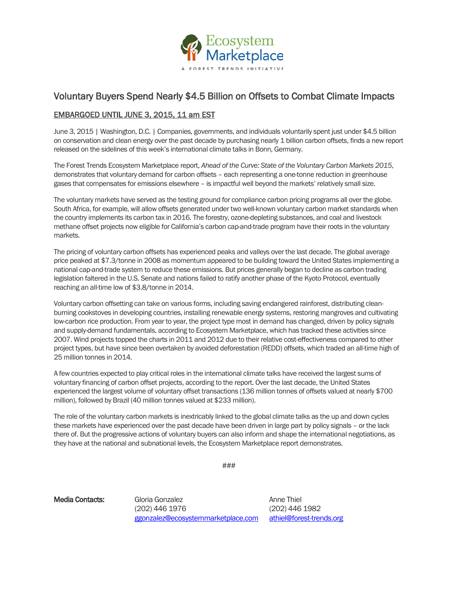

## Voluntary Buyers Spend Nearly \$4.5 Billion on Offsets to Combat Climate Impacts

## EMBARGOED UNTIL JUNE 3, 2015, 11 am EST

June 3, 2015 | Washington, D.C. | Companies, governments, and individuals voluntarily spent just under \$4.5 billion on conservation and clean energy over the past decade by purchasing nearly 1 billion carbon offsets, finds a new report released on the sidelines of this week's international climate talks in Bonn, Germany.

The Forest Trends Ecosystem Marketplace report, *Ahead of the Curve: State of the Voluntary Carbon Markets 2015*, demonstrates that voluntary demand for carbon offsets – each representing a one-tonne reduction in greenhouse gases that compensates for emissions elsewhere – is impactful well beyond the markets' relatively small size.

The voluntary markets have served as the testing ground for compliance carbon pricing programs all over the globe. South Africa, for example, will allow offsets generated under two well-known voluntary carbon market standards when the country implements its carbon tax in 2016. The forestry, ozone-depleting substances, and coal and livestock methane offset projects now eligible for California's carbon cap-and-trade program have their roots in the voluntary markets.

The pricing of voluntary carbon offsets has experienced peaks and valleys over the last decade. The global average price peaked at \$7.3/tonne in 2008 as momentum appeared to be building toward the United States implementing a national cap-and-trade system to reduce these emissions. But prices generally began to decline as carbon trading legislation faltered in the U.S. Senate and nations failed to ratify another phase of the Kyoto Protocol, eventually reaching an all-time low of \$3.8/tonne in 2014.

Voluntary carbon offsetting can take on various forms, including saving endangered rainforest, distributing cleanburning cookstoves in developing countries, installing renewable energy systems, restoring mangroves and cultivating low-carbon rice production. From year to year, the project type most in demand has changed, driven by policy signals and supply-demand fundamentals, according to Ecosystem Marketplace, which has tracked these activities since 2007. Wind projects topped the charts in 2011 and 2012 due to their relative cost-effectiveness compared to other project types, but have since been overtaken by avoided deforestation (REDD) offsets, which traded an all-time high of 25 million tonnes in 2014.

A few countries expected to play critical roles in the international climate talks have received the largest sums of voluntary financing of carbon offset projects, according to the report. Over the last decade, the United States experienced the largest volume of voluntary offset transactions (136 million tonnes of offsets valued at nearly \$700 million), followed by Brazil (40 million tonnes valued at \$233 million).

The role of the voluntary carbon markets is inextricably linked to the global climate talks as the up and down cycles these markets have experienced over the past decade have been driven in large part by policy signals – or the lack there of. But the progressive actions of voluntary buyers can also inform and shape the international negotiations, as they have at the national and subnational levels, the Ecosystem Marketplace report demonstrates.

###

Media Contacts: Gloria Gonzalez **Anne Thiel** Anne Thiel (202) 446 1976 (202) 446 1982 [ggonzalez@ecosystemmarketplace.com](mailto:ggonzalez@ecosystemmarketplace.com) [athiel@forest-trends.org](mailto:athiel@forest-trends.org)